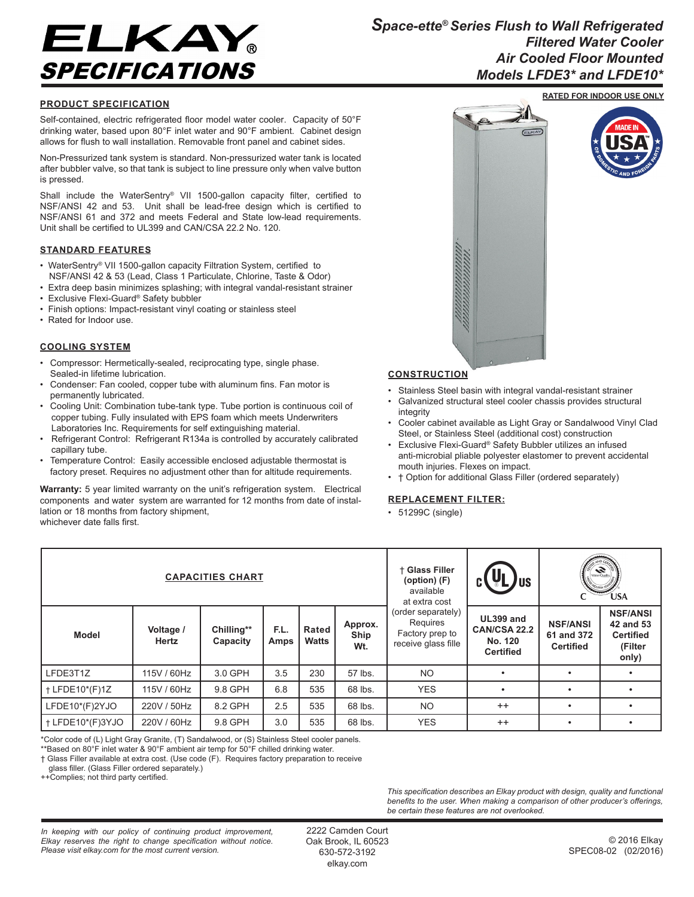

## **PRODUCT SPECIFICATION**

Self-contained, electric refrigerated floor model water cooler. Capacity of 50°F drinking water, based upon 80°F inlet water and 90°F ambient. Cabinet design allows for flush to wall installation. Removable front panel and cabinet sides.

Non-Pressurized tank system is standard. Non-pressurized water tank is located after bubbler valve, so that tank is subject to line pressure only when valve button is pressed.

Shall include the WaterSentry® VII 1500-gallon capacity filter, certified to NSF/ANSI 42 and 53. Unit shall be lead-free design which is certified to NSF/ANSI 61 and 372 and meets Federal and State low-lead requirements. Unit shall be certified to UL399 and CAN/CSA 22.2 No. 120.

## **STANDARD FEATURES**

- WaterSentry® VII 1500-gallon capacity Filtration System, certified to NSF/ANSI 42 & 53 (Lead, Class 1 Particulate, Chlorine, Taste & Odor)
- Extra deep basin minimizes splashing; with integral vandal-resistant strainer
- Exclusive Flexi-Guard® Safety bubbler
- Finish options: Impact-resistant vinyl coating or stainless steel
- Rated for Indoor use.

## **COOLING SYSTEM**

- Compressor: Hermetically-sealed, reciprocating type, single phase. Sealed-in lifetime lubrication.
- Condenser: Fan cooled, copper tube with aluminum fins. Fan motor is permanently lubricated.
- Cooling Unit: Combination tube-tank type. Tube portion is continuous coil of copper tubing. Fully insulated with EPS foam which meets Underwriters Laboratories Inc. Requirements for self extinguishing material.
- Refrigerant Control: Refrigerant R134a is controlled by accurately calibrated capillary tube.
- Temperature Control: Easily accessible enclosed adjustable thermostat is factory preset. Requires no adjustment other than for altitude requirements.

Warranty: 5 year limited warranty on the unit's refrigeration system. Electrical components and water system are warranted for 12 months from date of installation or 18 months from factory shipment, whichever date falls first.





## **CONSTRUCTION**

- Stainless Steel basin with integral vandal-resistant strainer
- Galvanized structural steel cooler chassis provides structural integrity
- Cooler cabinet available as Light Gray or Sandalwood Vinyl Clad Steel, or Stainless Steel (additional cost) construction
- Exclusive Flexi-Guard® Safety Bubbler utilizes an infused anti-microbial pliable polyester elastomer to prevent accidental mouth injuries. Flexes on impact.
- † Option for additional Glass Filler (ordered separately)

## **REPLACEMENT FILTER:**

• 51299C (single)

| <b>CAPACITIES CHART</b> |                    |                        |              |                |                        | + Glass Filler<br>(option) (F)<br>available<br>at extra cost             | /us                                                             | water Quity<br><b>NOUSTRY STA</b><br><b>USA</b>   |                                                                      |
|-------------------------|--------------------|------------------------|--------------|----------------|------------------------|--------------------------------------------------------------------------|-----------------------------------------------------------------|---------------------------------------------------|----------------------------------------------------------------------|
| <b>Model</b>            | Voltage /<br>Hertz | Chilling**<br>Capacity | F.L.<br>Amps | Rated<br>Watts | Approx.<br>Ship<br>Wt. | (order separately)<br>Requires<br>Factory prep to<br>receive glass fille | UL399 and<br><b>CAN/CSA 22.2</b><br>No. 120<br><b>Certified</b> | <b>NSF/ANSI</b><br>61 and 372<br><b>Certified</b> | <b>NSF/ANSI</b><br>42 and 53<br><b>Certified</b><br>(Filter<br>only) |
| LFDE3T1Z                | 115V / 60Hz        | 3.0 GPH                | 3.5          | 230            | 57 lbs.                | <b>NO</b>                                                                |                                                                 | ٠                                                 |                                                                      |
| + LFDE10*(F)1Z          | 115V / 60Hz        | 9.8 GPH                | 6.8          | 535            | 68 lbs.                | <b>YES</b>                                                               |                                                                 |                                                   |                                                                      |
| LFDE10*(F)2YJO          | 220V / 50Hz        | 8.2 GPH                | 2.5          | 535            | 68 lbs.                | <b>NO</b>                                                                | $++$                                                            | ٠                                                 |                                                                      |
| + LFDE10*(F)3YJO        | 220V / 60Hz        | 9.8 GPH                | 3.0          | 535            | 68 lbs.                | <b>YES</b>                                                               | $^{++}$                                                         | ٠                                                 |                                                                      |

.<br>\*Color code of (L) Light Gray Granite, (T) Sandalwood, or (S) Stainless Steel cooler panels.

\*\*Based on 80°F inlet water & 90°F ambient air temp for 50°F chilled drinking water.

† Glass Filler available at extra cost. (Use code (F). Requires factory preparation to receive

glass filler. (Glass Filler ordered separately.)

++Complies; not third party certified.

*This specification describes an Elkay product with design, quality and functional benefits to the user. When making a comparison of other producer's offerings, be certain these features are not overlooked.*

*In keeping with our policy of continuing product improvement, Elkay reserves the right to change specification without notice. Please visit elkay.com for the most current version.*

2222 Camden Court Oak Brook, IL 60523 630-572-3192 elkay.com